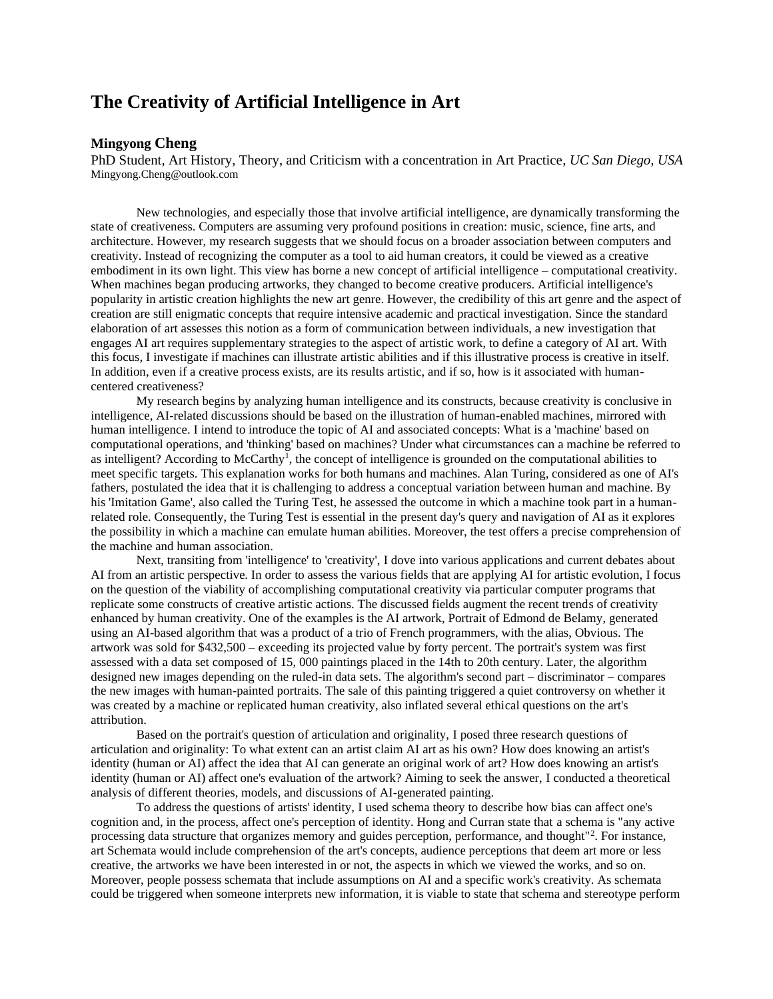## **The Creativity of Artificial Intelligence in Art**

## **Mingyong Cheng**

PhD Student, Art History, Theory, and Criticism with a concentration in Art Practice, *UC San Diego, USA* Mingyong.Cheng@outlook.com

New technologies, and especially those that involve artificial intelligence, are dynamically transforming the state of creativeness. Computers are assuming very profound positions in creation: music, science, fine arts, and architecture. However, my research suggests that we should focus on a broader association between computers and creativity. Instead of recognizing the computer as a tool to aid human creators, it could be viewed as a creative embodiment in its own light. This view has borne a new concept of artificial intelligence – computational creativity. When machines began producing artworks, they changed to become creative producers. Artificial intelligence's popularity in artistic creation highlights the new art genre. However, the credibility of this art genre and the aspect of creation are still enigmatic concepts that require intensive academic and practical investigation. Since the standard elaboration of art assesses this notion as a form of communication between individuals, a new investigation that engages AI art requires supplementary strategies to the aspect of artistic work, to define a category of AI art. With this focus, I investigate if machines can illustrate artistic abilities and if this illustrative process is creative in itself. In addition, even if a creative process exists, are its results artistic, and if so, how is it associated with humancentered creativeness?

My research begins by analyzing human intelligence and its constructs, because creativity is conclusive in intelligence, AI-related discussions should be based on the illustration of human-enabled machines, mirrored with human intelligence. I intend to introduce the topic of AI and associated concepts: What is a 'machine' based on computational operations, and 'thinking' based on machines? Under what circumstances can a machine be referred to as intelligent? According to McCarthy<sup>1</sup>, the concept of intelligence is grounded on the computational abilities to meet specific targets. This explanation works for both humans and machines. Alan Turing, considered as one of AI's fathers, postulated the idea that it is challenging to address a conceptual variation between human and machine. By his 'Imitation Game', also called the Turing Test, he assessed the outcome in which a machine took part in a humanrelated role. Consequently, the Turing Test is essential in the present day's query and navigation of AI as it explores the possibility in which a machine can emulate human abilities. Moreover, the test offers a precise comprehension of the machine and human association.

Next, transiting from 'intelligence' to 'creativity', I dove into various applications and current debates about AI from an artistic perspective. In order to assess the various fields that are applying AI for artistic evolution, I focus on the question of the viability of accomplishing computational creativity via particular computer programs that replicate some constructs of creative artistic actions. The discussed fields augment the recent trends of creativity enhanced by human creativity. One of the examples is the AI artwork, Portrait of Edmond de Belamy, generated using an AI-based algorithm that was a product of a trio of French programmers, with the alias, Obvious. The artwork was sold for \$432,500 – exceeding its projected value by forty percent. The portrait's system was first assessed with a data set composed of 15, 000 paintings placed in the 14th to 20th century. Later, the algorithm designed new images depending on the ruled-in data sets. The algorithm's second part – discriminator – compares the new images with human-painted portraits. The sale of this painting triggered a quiet controversy on whether it was created by a machine or replicated human creativity, also inflated several ethical questions on the art's attribution.

Based on the portrait's question of articulation and originality, I posed three research questions of articulation and originality: To what extent can an artist claim AI art as his own? How does knowing an artist's identity (human or AI) affect the idea that AI can generate an original work of art? How does knowing an artist's identity (human or AI) affect one's evaluation of the artwork? Aiming to seek the answer, I conducted a theoretical analysis of different theories, models, and discussions of AI-generated painting.

To address the questions of artists' identity, I used schema theory to describe how bias can affect one's cognition and, in the process, affect one's perception of identity. Hong and Curran state that a schema is "any active processing data structure that organizes memory and guides perception, performance, and thought"<sup>2</sup>. For instance, art Schemata would include comprehension of the art's concepts, audience perceptions that deem art more or less creative, the artworks we have been interested in or not, the aspects in which we viewed the works, and so on. Moreover, people possess schemata that include assumptions on AI and a specific work's creativity. As schemata could be triggered when someone interprets new information, it is viable to state that schema and stereotype perform